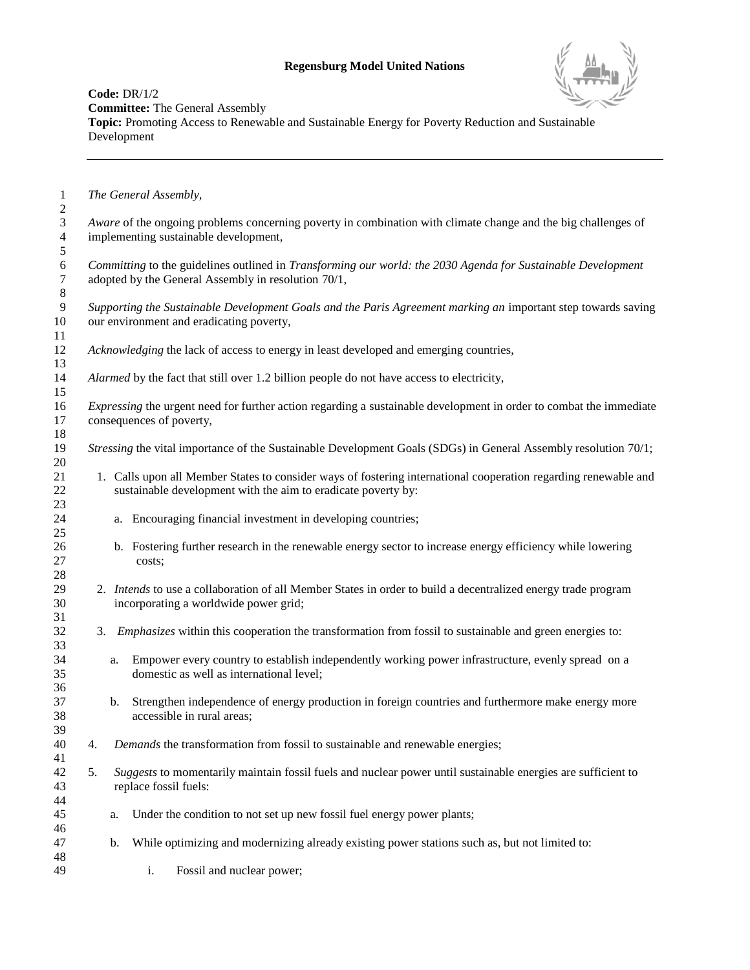## **Regensburg Model United Nations**



**Code:** DR/1/2 **Committee:** The General Assembly **Topic:** Promoting Access to Renewable and Sustainable Energy for Poverty Reduction and Sustainable Development

| 1<br>$\overline{2}$               | The General Assembly,                                                                                                                                               |                                                                                                                                                        |        |                                                                                                                                                                                  |  |  |  |  |  |
|-----------------------------------|---------------------------------------------------------------------------------------------------------------------------------------------------------------------|--------------------------------------------------------------------------------------------------------------------------------------------------------|--------|----------------------------------------------------------------------------------------------------------------------------------------------------------------------------------|--|--|--|--|--|
| 3<br>$\overline{4}$<br>$\sqrt{5}$ | Aware of the ongoing problems concerning poverty in combination with climate change and the big challenges of<br>implementing sustainable development,              |                                                                                                                                                        |        |                                                                                                                                                                                  |  |  |  |  |  |
| $\sqrt{6}$<br>$\tau$<br>$\,8\,$   | Committing to the guidelines outlined in Transforming our world: the 2030 Agenda for Sustainable Development<br>adopted by the General Assembly in resolution 70/1, |                                                                                                                                                        |        |                                                                                                                                                                                  |  |  |  |  |  |
| $\overline{9}$<br>10<br>11        | Supporting the Sustainable Development Goals and the Paris Agreement marking an important step towards saving<br>our environment and eradicating poverty,           |                                                                                                                                                        |        |                                                                                                                                                                                  |  |  |  |  |  |
| 12<br>13                          | Acknowledging the lack of access to energy in least developed and emerging countries,                                                                               |                                                                                                                                                        |        |                                                                                                                                                                                  |  |  |  |  |  |
| 14<br>15                          | Alarmed by the fact that still over 1.2 billion people do not have access to electricity,                                                                           |                                                                                                                                                        |        |                                                                                                                                                                                  |  |  |  |  |  |
| 16<br>17<br>18                    | <i>Expressing</i> the urgent need for further action regarding a sustainable development in order to combat the immediate<br>consequences of poverty,               |                                                                                                                                                        |        |                                                                                                                                                                                  |  |  |  |  |  |
| 19<br>20                          |                                                                                                                                                                     | Stressing the vital importance of the Sustainable Development Goals (SDGs) in General Assembly resolution 70/1;                                        |        |                                                                                                                                                                                  |  |  |  |  |  |
| 21<br>22<br>23                    |                                                                                                                                                                     |                                                                                                                                                        |        | 1. Calls upon all Member States to consider ways of fostering international cooperation regarding renewable and<br>sustainable development with the aim to eradicate poverty by: |  |  |  |  |  |
| 24<br>25                          |                                                                                                                                                                     |                                                                                                                                                        |        | a. Encouraging financial investment in developing countries;                                                                                                                     |  |  |  |  |  |
| 26<br>27<br>28                    |                                                                                                                                                                     |                                                                                                                                                        | costs; | b. Fostering further research in the renewable energy sector to increase energy efficiency while lowering                                                                        |  |  |  |  |  |
| 29<br>30<br>31                    |                                                                                                                                                                     | 2. Intends to use a collaboration of all Member States in order to build a decentralized energy trade program<br>incorporating a worldwide power grid; |        |                                                                                                                                                                                  |  |  |  |  |  |
| 32<br>33                          | 3.                                                                                                                                                                  |                                                                                                                                                        |        | <i>Emphasizes</i> within this cooperation the transformation from fossil to sustainable and green energies to:                                                                   |  |  |  |  |  |
| 34<br>35<br>36                    |                                                                                                                                                                     | a.                                                                                                                                                     |        | Empower every country to establish independently working power infrastructure, evenly spread on a<br>domestic as well as international level;                                    |  |  |  |  |  |
| 37<br>38<br>39                    |                                                                                                                                                                     | $\mathbf{b}$ .                                                                                                                                         |        | Strengthen independence of energy production in foreign countries and furthermore make energy more<br>accessible in rural areas;                                                 |  |  |  |  |  |
| 40<br>41                          | 4.                                                                                                                                                                  |                                                                                                                                                        |        | Demands the transformation from fossil to sustainable and renewable energies;                                                                                                    |  |  |  |  |  |
| 42<br>43<br>44                    | 5.                                                                                                                                                                  |                                                                                                                                                        |        | Suggests to momentarily maintain fossil fuels and nuclear power until sustainable energies are sufficient to<br>replace fossil fuels:                                            |  |  |  |  |  |
| 45<br>46                          |                                                                                                                                                                     | a.                                                                                                                                                     |        | Under the condition to not set up new fossil fuel energy power plants;                                                                                                           |  |  |  |  |  |
| 47<br>48                          |                                                                                                                                                                     | b.                                                                                                                                                     |        | While optimizing and modernizing already existing power stations such as, but not limited to:                                                                                    |  |  |  |  |  |
| 49                                |                                                                                                                                                                     |                                                                                                                                                        | i.     | Fossil and nuclear power;                                                                                                                                                        |  |  |  |  |  |